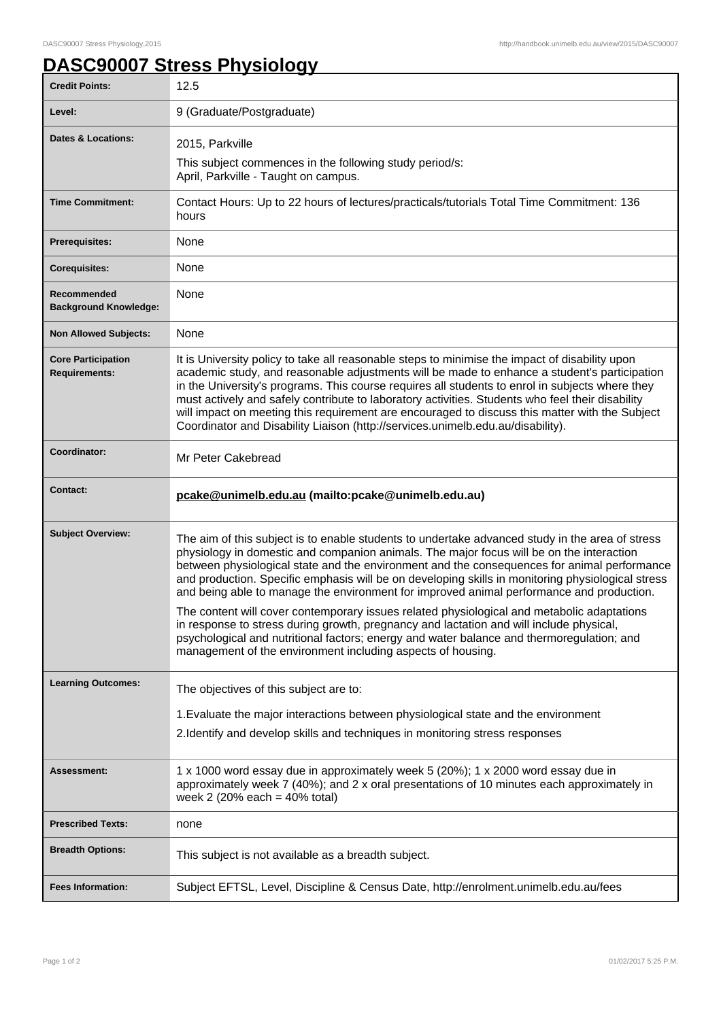## **DASC90007 Stress Physiology**

| <b>Credit Points:</b>                             | 12.5                                                                                                                                                                                                                                                                                                                                                                                                                                                                                                                                                                                       |
|---------------------------------------------------|--------------------------------------------------------------------------------------------------------------------------------------------------------------------------------------------------------------------------------------------------------------------------------------------------------------------------------------------------------------------------------------------------------------------------------------------------------------------------------------------------------------------------------------------------------------------------------------------|
| Level:                                            | 9 (Graduate/Postgraduate)                                                                                                                                                                                                                                                                                                                                                                                                                                                                                                                                                                  |
| <b>Dates &amp; Locations:</b>                     | 2015, Parkville                                                                                                                                                                                                                                                                                                                                                                                                                                                                                                                                                                            |
|                                                   | This subject commences in the following study period/s:<br>April, Parkville - Taught on campus.                                                                                                                                                                                                                                                                                                                                                                                                                                                                                            |
| <b>Time Commitment:</b>                           | Contact Hours: Up to 22 hours of lectures/practicals/tutorials Total Time Commitment: 136<br>hours                                                                                                                                                                                                                                                                                                                                                                                                                                                                                         |
| <b>Prerequisites:</b>                             | None                                                                                                                                                                                                                                                                                                                                                                                                                                                                                                                                                                                       |
| <b>Corequisites:</b>                              | None                                                                                                                                                                                                                                                                                                                                                                                                                                                                                                                                                                                       |
| Recommended<br><b>Background Knowledge:</b>       | None                                                                                                                                                                                                                                                                                                                                                                                                                                                                                                                                                                                       |
| <b>Non Allowed Subjects:</b>                      | None                                                                                                                                                                                                                                                                                                                                                                                                                                                                                                                                                                                       |
| <b>Core Participation</b><br><b>Requirements:</b> | It is University policy to take all reasonable steps to minimise the impact of disability upon<br>academic study, and reasonable adjustments will be made to enhance a student's participation<br>in the University's programs. This course requires all students to enrol in subjects where they<br>must actively and safely contribute to laboratory activities. Students who feel their disability<br>will impact on meeting this requirement are encouraged to discuss this matter with the Subject<br>Coordinator and Disability Liaison (http://services.unimelb.edu.au/disability). |
| Coordinator:                                      | Mr Peter Cakebread                                                                                                                                                                                                                                                                                                                                                                                                                                                                                                                                                                         |
| <b>Contact:</b>                                   | pcake@unimelb.edu.au (mailto:pcake@unimelb.edu.au)                                                                                                                                                                                                                                                                                                                                                                                                                                                                                                                                         |
| <b>Subject Overview:</b>                          |                                                                                                                                                                                                                                                                                                                                                                                                                                                                                                                                                                                            |
|                                                   | The aim of this subject is to enable students to undertake advanced study in the area of stress<br>physiology in domestic and companion animals. The major focus will be on the interaction<br>between physiological state and the environment and the consequences for animal performance<br>and production. Specific emphasis will be on developing skills in monitoring physiological stress<br>and being able to manage the environment for improved animal performance and production.                                                                                                |
|                                                   | The content will cover contemporary issues related physiological and metabolic adaptations<br>in response to stress during growth, pregnancy and lactation and will include physical,<br>psychological and nutritional factors; energy and water balance and thermoregulation; and<br>management of the environment including aspects of housing.                                                                                                                                                                                                                                          |
| <b>Learning Outcomes:</b>                         | The objectives of this subject are to:                                                                                                                                                                                                                                                                                                                                                                                                                                                                                                                                                     |
|                                                   | 1. Evaluate the major interactions between physiological state and the environment                                                                                                                                                                                                                                                                                                                                                                                                                                                                                                         |
|                                                   | 2. Identify and develop skills and techniques in monitoring stress responses                                                                                                                                                                                                                                                                                                                                                                                                                                                                                                               |
| Assessment:                                       | 1 x 1000 word essay due in approximately week 5 (20%); 1 x 2000 word essay due in<br>approximately week 7 (40%); and 2 x oral presentations of 10 minutes each approximately in<br>week 2 (20% each = $40\%$ total)                                                                                                                                                                                                                                                                                                                                                                        |
| <b>Prescribed Texts:</b>                          | none                                                                                                                                                                                                                                                                                                                                                                                                                                                                                                                                                                                       |
| <b>Breadth Options:</b>                           | This subject is not available as a breadth subject.                                                                                                                                                                                                                                                                                                                                                                                                                                                                                                                                        |